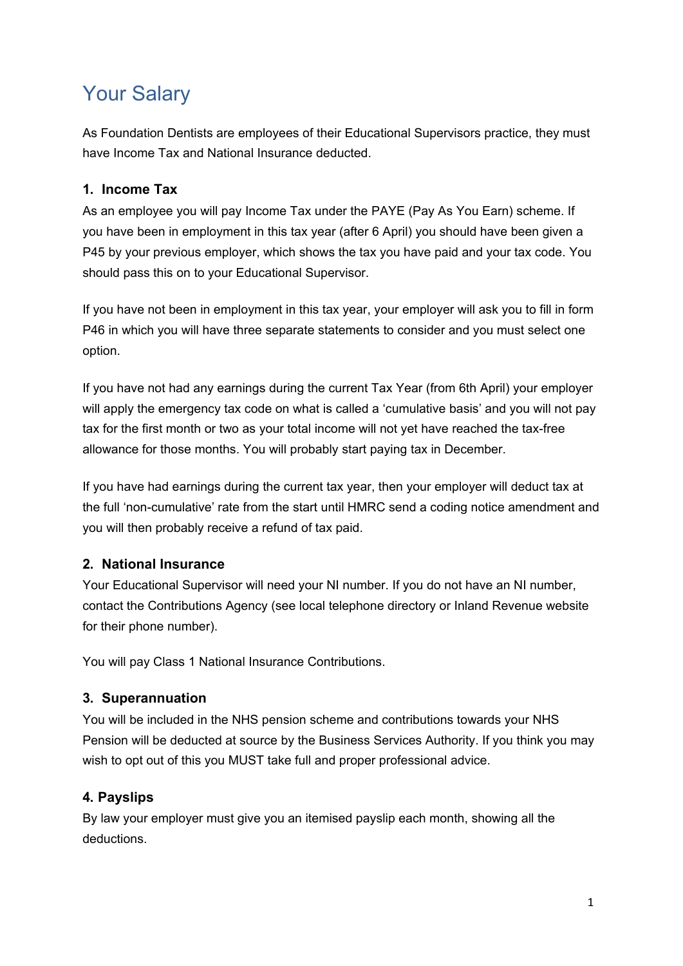# Your Salary

As Foundation Dentists are employees of their Educational Supervisors practice, they must have Income Tax and National Insurance deducted.

### **1. Income Tax**

As an employee you will pay Income Tax under the PAYE (Pay As You Earn) scheme. If you have been in employment in this tax year (after 6 April) you should have been given a P45 by your previous employer, which shows the tax you have paid and your tax code. You should pass this on to your Educational Supervisor.

If you have not been in employment in this tax year, your employer will ask you to fill in form P46 in which you will have three separate statements to consider and you must select one option.

If you have not had any earnings during the current Tax Year (from 6th April) your employer will apply the emergency tax code on what is called a 'cumulative basis' and you will not pay tax for the first month or two as your total income will not yet have reached the tax-free allowance for those months. You will probably start paying tax in December.

If you have had earnings during the current tax year, then your employer will deduct tax at the full 'non-cumulative' rate from the start until HMRC send a coding notice amendment and you will then probably receive a refund of tax paid.

#### **2. National Insurance**

Your Educational Supervisor will need your NI number. If you do not have an NI number, contact the Contributions Agency (see local telephone directory or Inland Revenue website for their phone number).

You will pay Class 1 National Insurance Contributions.

#### **3. Superannuation**

You will be included in the NHS pension scheme and contributions towards your NHS Pension will be deducted at source by the Business Services Authority. If you think you may wish to opt out of this you MUST take full and proper professional advice.

# **4. Payslips**

By law your employer must give you an itemised payslip each month, showing all the deductions.